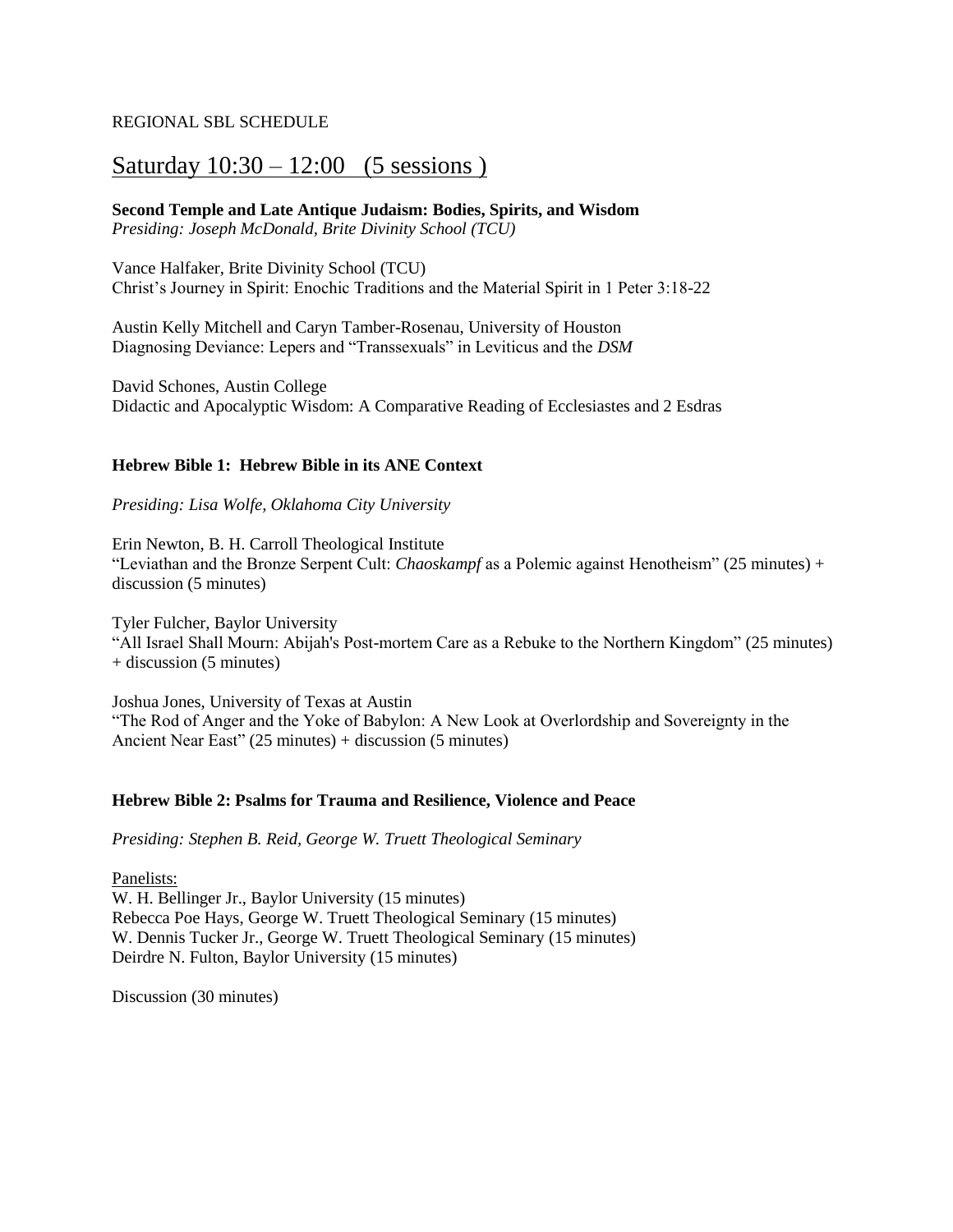## REGIONAL SBL SCHEDULE

# Saturday  $10:30 - 12:00$  (5 sessions)

## **Second Temple and Late Antique Judaism: Bodies, Spirits, and Wisdom**

*Presiding: Joseph McDonald, Brite Divinity School (TCU)*

Vance Halfaker, Brite Divinity School (TCU) Christ's Journey in Spirit: Enochic Traditions and the Material Spirit in 1 Peter 3:18-22

Austin Kelly Mitchell and Caryn Tamber-Rosenau, University of Houston Diagnosing Deviance: Lepers and "Transsexuals" in Leviticus and the *DSM*

David Schones, Austin College Didactic and Apocalyptic Wisdom: A Comparative Reading of Ecclesiastes and 2 Esdras

## **Hebrew Bible 1: Hebrew Bible in its ANE Context**

*Presiding: Lisa Wolfe, Oklahoma City University*

Erin Newton, B. H. Carroll Theological Institute "Leviathan and the Bronze Serpent Cult: *Chaoskampf* as a Polemic against Henotheism" (25 minutes) + discussion (5 minutes)

Tyler Fulcher, Baylor University "All Israel Shall Mourn: Abijah's Post-mortem Care as a Rebuke to the Northern Kingdom" (25 minutes)  $+$  discussion (5 minutes)

Joshua Jones, University of Texas at Austin "The Rod of Anger and the Yoke of Babylon: A New Look at Overlordship and Sovereignty in the Ancient Near East" (25 minutes) + discussion (5 minutes)

## **Hebrew Bible 2: Psalms for Trauma and Resilience, Violence and Peace**

*Presiding: Stephen B. Reid, George W. Truett Theological Seminary*

Panelists: W. H. Bellinger Jr., Baylor University (15 minutes) Rebecca Poe Hays, George W. Truett Theological Seminary (15 minutes) W. Dennis Tucker Jr., George W. Truett Theological Seminary (15 minutes) Deirdre N. Fulton, Baylor University (15 minutes)

Discussion (30 minutes)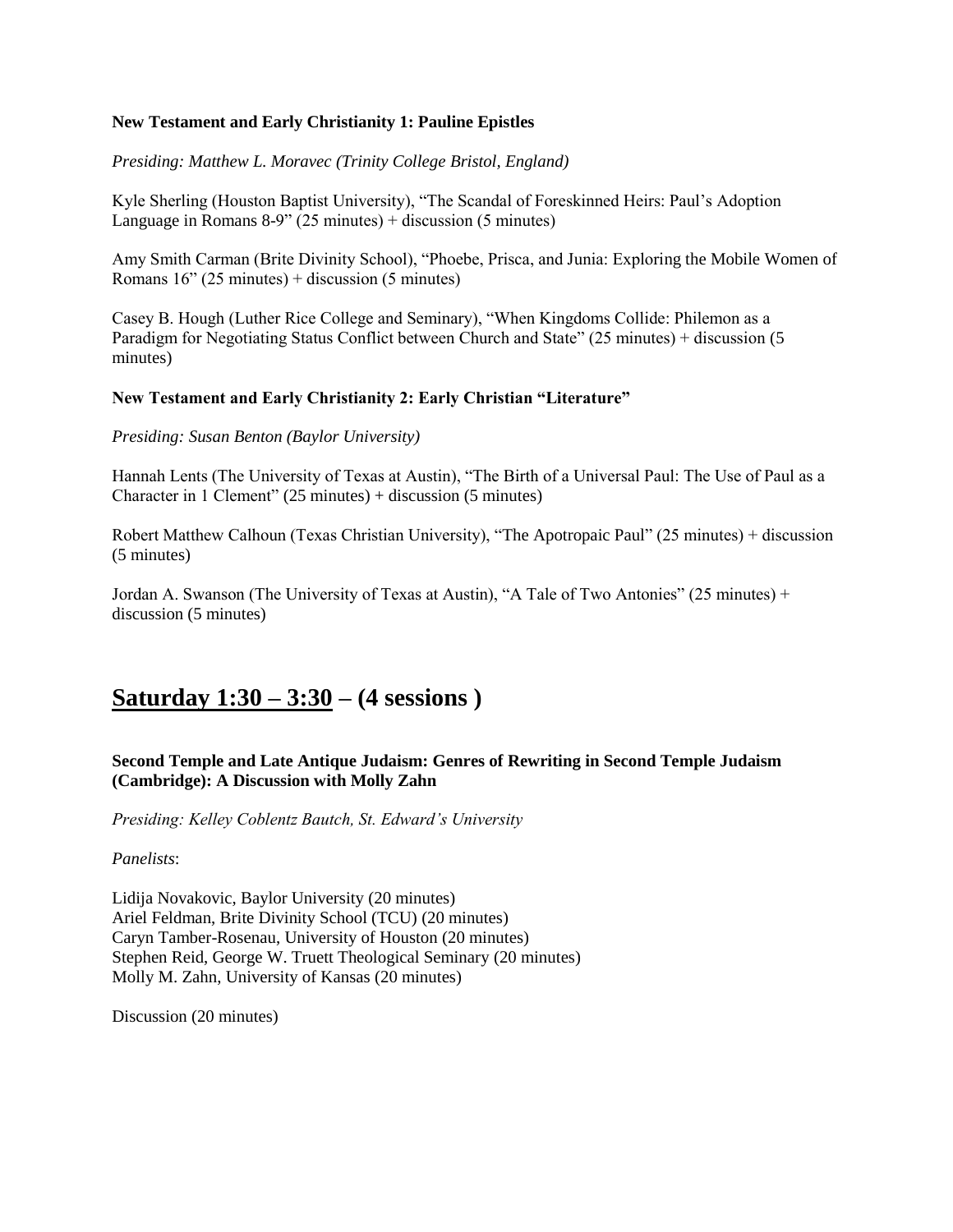### **New Testament and Early Christianity 1: Pauline Epistles**

*Presiding: Matthew L. Moravec (Trinity College Bristol, England)*

Kyle Sherling (Houston Baptist University), "The Scandal of Foreskinned Heirs: Paul's Adoption Language in Romans  $8-9$ " (25 minutes) + discussion (5 minutes)

Amy Smith Carman (Brite Divinity School), "Phoebe, Prisca, and Junia: Exploring the Mobile Women of Romans  $16$ " (25 minutes) + discussion (5 minutes)

Casey B. Hough (Luther Rice College and Seminary), "When Kingdoms Collide: Philemon as a Paradigm for Negotiating Status Conflict between Church and State" (25 minutes) + discussion (5 minutes)

### **New Testament and Early Christianity 2: Early Christian "Literature"**

*Presiding: Susan Benton (Baylor University)*

Hannah Lents (The University of Texas at Austin), "The Birth of a Universal Paul: The Use of Paul as a Character in 1 Clement" (25 minutes) + discussion (5 minutes)

Robert Matthew Calhoun (Texas Christian University), "The Apotropaic Paul" (25 minutes) + discussion (5 minutes)

Jordan A. Swanson (The University of Texas at Austin), "A Tale of Two Antonies" (25 minutes) + discussion (5 minutes)

# **Saturday 1:30 – 3:30 – (4 sessions )**

## **Second Temple and Late Antique Judaism: Genres of Rewriting in Second Temple Judaism (Cambridge): A Discussion with Molly Zahn**

*Presiding: Kelley Coblentz Bautch, St. Edward's University*

*Panelists*:

Lidija Novakovic, Baylor University (20 minutes) Ariel Feldman, Brite Divinity School (TCU) (20 minutes) Caryn Tamber-Rosenau, University of Houston (20 minutes) Stephen Reid, George W. Truett Theological Seminary (20 minutes) Molly M. Zahn, University of Kansas (20 minutes)

Discussion (20 minutes)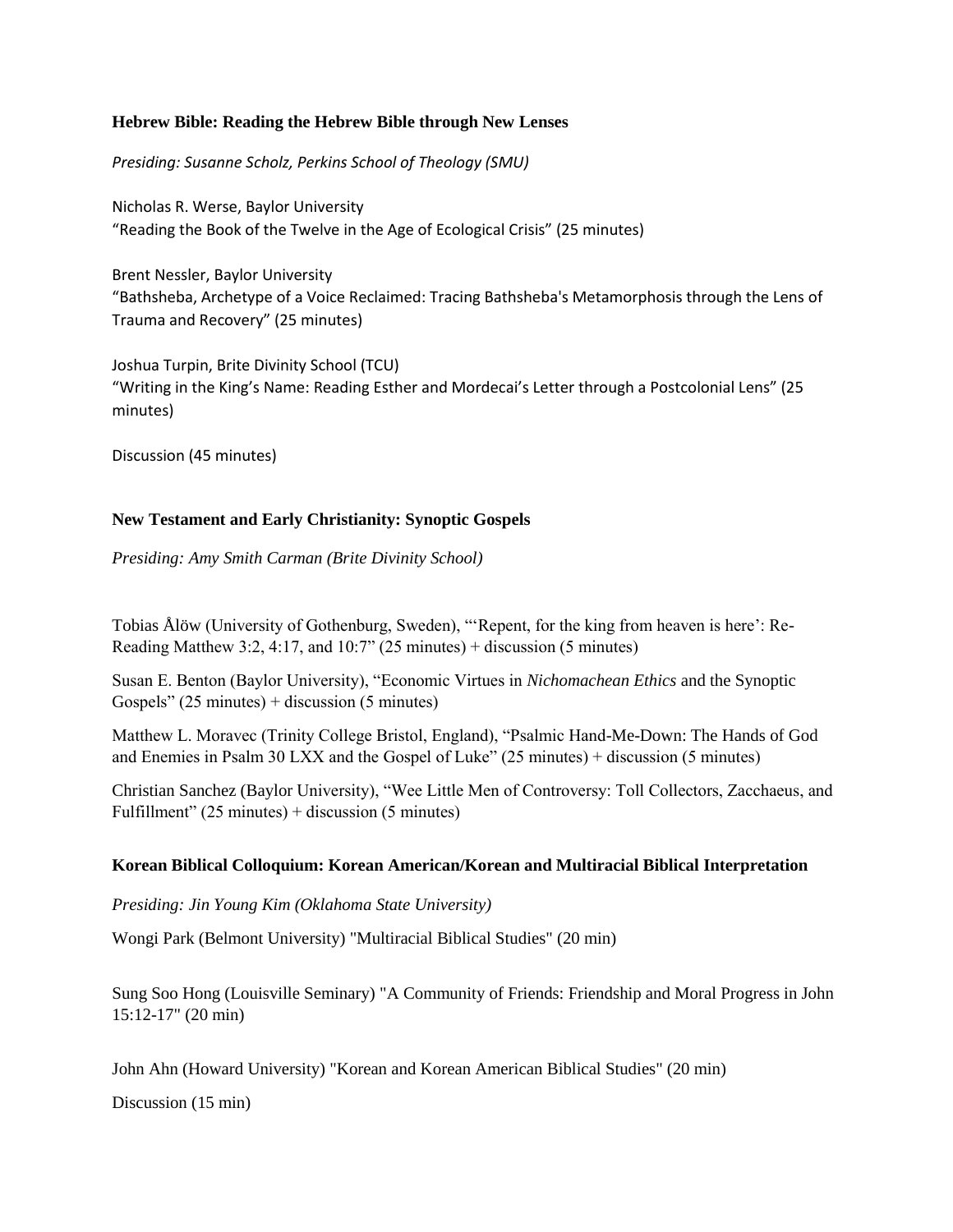### **Hebrew Bible: Reading the Hebrew Bible through New Lenses**

*Presiding: Susanne Scholz, Perkins School of Theology (SMU)*

Nicholas R. Werse, Baylor University "Reading the Book of the Twelve in the Age of Ecological Crisis" (25 minutes)

Brent Nessler, Baylor University "Bathsheba, Archetype of a Voice Reclaimed: Tracing Bathsheba's Metamorphosis through the Lens of Trauma and Recovery" (25 minutes)

Joshua Turpin, Brite Divinity School (TCU) "Writing in the King's Name: Reading Esther and Mordecai's Letter through a Postcolonial Lens" (25 minutes)

Discussion (45 minutes)

## **New Testament and Early Christianity: Synoptic Gospels**

*Presiding: Amy Smith Carman (Brite Divinity School)*

Tobias Ålöw (University of Gothenburg, Sweden), "'Repent, for the king from heaven is here': Re-Reading Matthew 3:2, 4:17, and  $10:7$ " (25 minutes) + discussion (5 minutes)

Susan E. Benton (Baylor University), "Economic Virtues in *Nichomachean Ethics* and the Synoptic Gospels" (25 minutes) + discussion (5 minutes)

Matthew L. Moravec (Trinity College Bristol, England), "Psalmic Hand-Me-Down: The Hands of God and Enemies in Psalm 30 LXX and the Gospel of Luke" (25 minutes) + discussion (5 minutes)

Christian Sanchez (Baylor University), "Wee Little Men of Controversy: Toll Collectors, Zacchaeus, and Fulfillment" (25 minutes) + discussion (5 minutes)

## **Korean Biblical Colloquium: Korean American/Korean and Multiracial Biblical Interpretation**

*Presiding: Jin Young Kim (Oklahoma State University)*

Wongi Park (Belmont University) "Multiracial Biblical Studies" (20 min)

Sung Soo Hong (Louisville Seminary) "A Community of Friends: Friendship and Moral Progress in John 15:12-17" (20 min)

John Ahn (Howard University) "Korean and Korean American Biblical Studies" (20 min)

Discussion (15 min)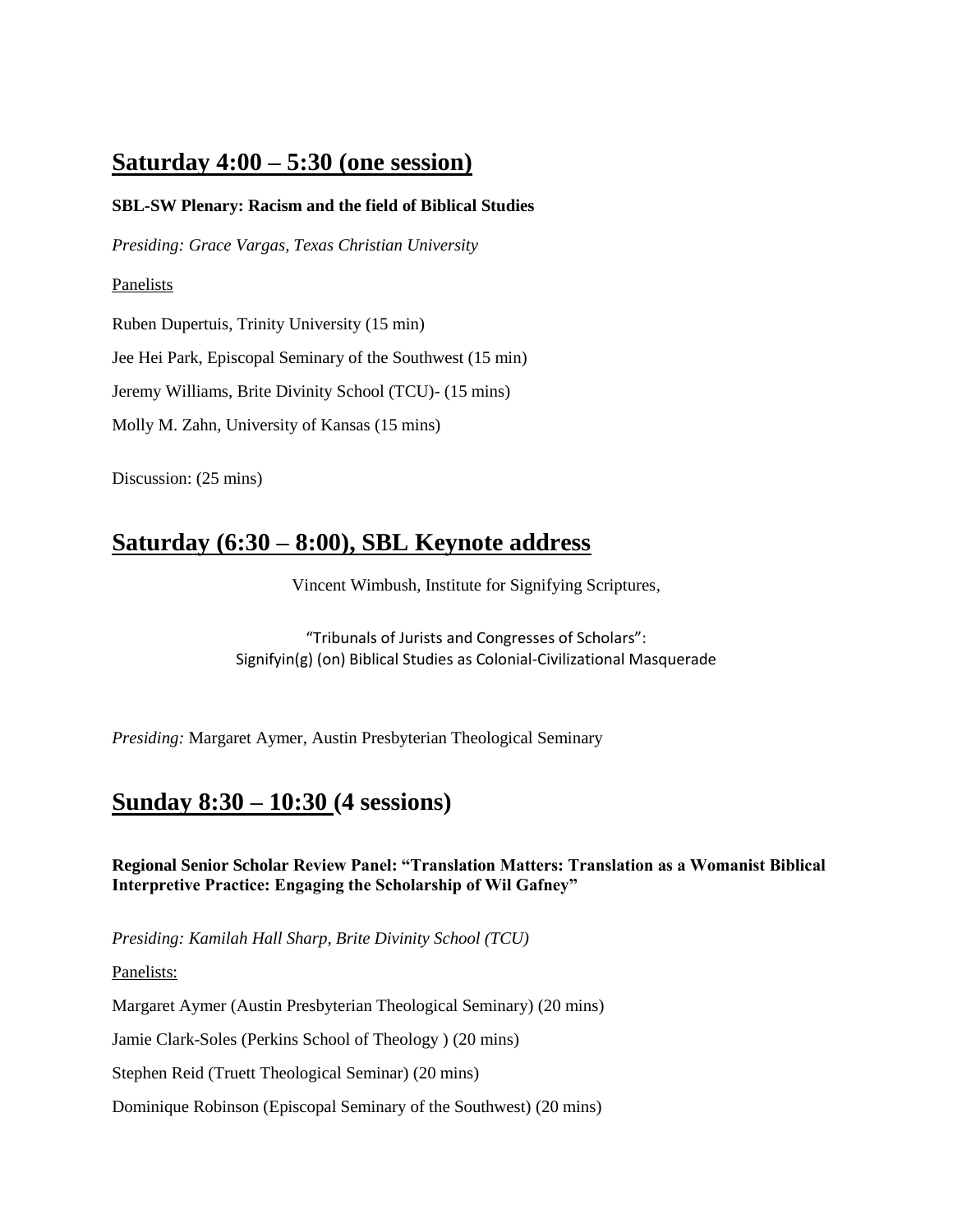# **Saturday 4:00 – 5:30 (one session)**

# **SBL-SW Plenary: Racism and the field of Biblical Studies**

*Presiding: Grace Vargas, Texas Christian University* 

### Panelists

Ruben Dupertuis, Trinity University (15 min)

Jee Hei Park, Episcopal Seminary of the Southwest (15 min)

Jeremy Williams, Brite Divinity School (TCU)- (15 mins)

Molly M. Zahn, University of Kansas (15 mins)

Discussion: (25 mins)

# **Saturday (6:30 – 8:00), SBL Keynote address**

Vincent Wimbush, Institute for Signifying Scriptures,

"Tribunals of Jurists and Congresses of Scholars": Signifyin(g) (on) Biblical Studies as Colonial-Civilizational Masquerade

*Presiding:* Margaret Aymer, Austin Presbyterian Theological Seminary

# **Sunday 8:30 – 10:30 (4 sessions)**

**Regional Senior Scholar Review Panel: "Translation Matters: Translation as a Womanist Biblical Interpretive Practice: Engaging the Scholarship of Wil Gafney"**

*Presiding: Kamilah Hall Sharp, Brite Divinity School (TCU)*

Panelists:

Margaret Aymer (Austin Presbyterian Theological Seminary) (20 mins)

Jamie Clark-Soles (Perkins School of Theology ) (20 mins)

Stephen Reid (Truett Theological Seminar) (20 mins)

Dominique Robinson (Episcopal Seminary of the Southwest) (20 mins)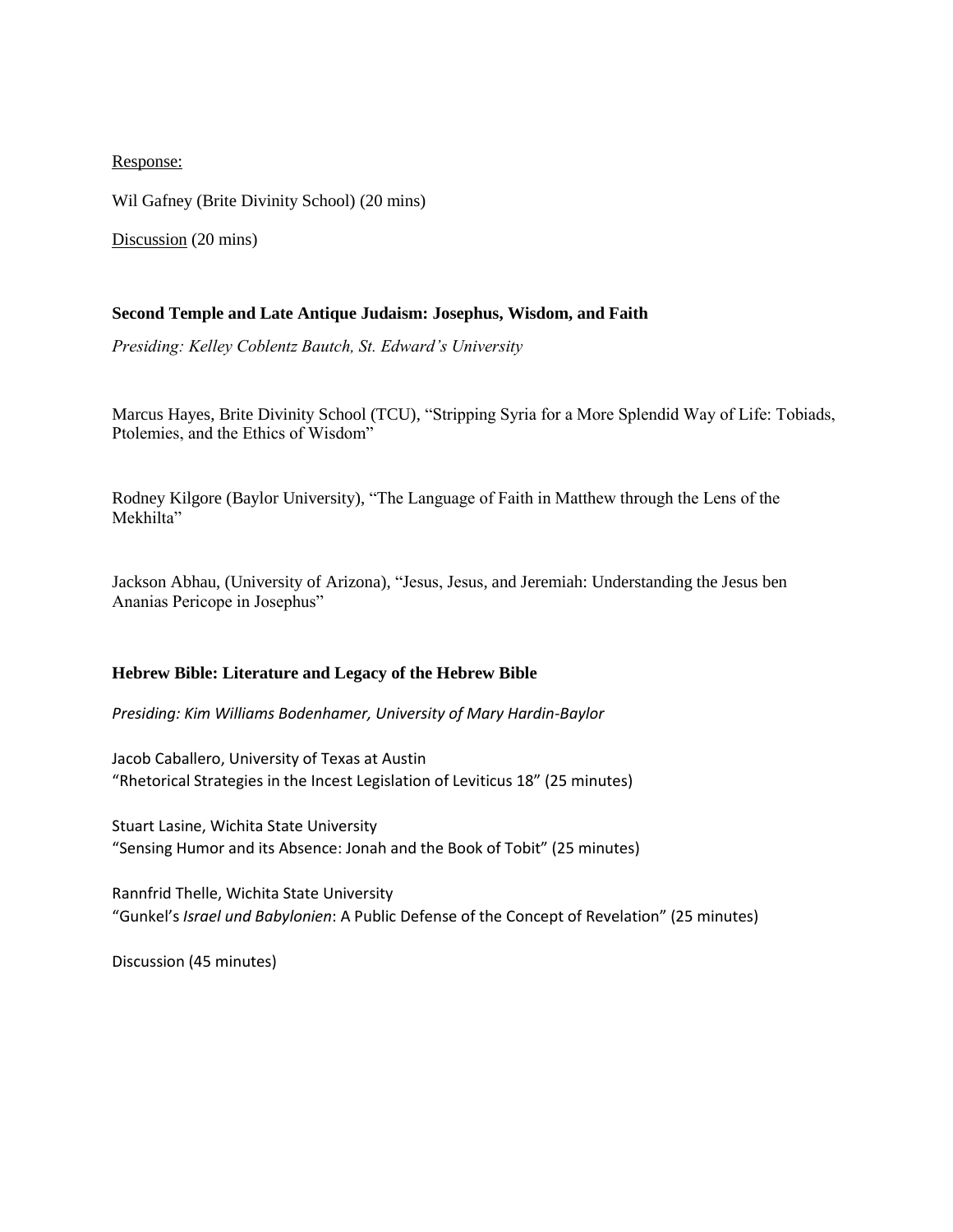### Response:

Wil Gafney (Brite Divinity School) (20 mins)

Discussion (20 mins)

### **Second Temple and Late Antique Judaism: Josephus, Wisdom, and Faith**

*Presiding: Kelley Coblentz Bautch, St. Edward's University*

Marcus Hayes, Brite Divinity School (TCU), "Stripping Syria for a More Splendid Way of Life: Tobiads, Ptolemies, and the Ethics of Wisdom"

Rodney Kilgore (Baylor University), "The Language of Faith in Matthew through the Lens of the Mekhilta"

Jackson Abhau, (University of Arizona), "Jesus, Jesus, and Jeremiah: Understanding the Jesus ben Ananias Pericope in Josephus"

#### **Hebrew Bible: Literature and Legacy of the Hebrew Bible**

*Presiding: Kim Williams Bodenhamer, University of Mary Hardin-Baylor*

Jacob Caballero, University of Texas at Austin "Rhetorical Strategies in the Incest Legislation of Leviticus 18" (25 minutes)

Stuart Lasine, Wichita State University "Sensing Humor and its Absence: Jonah and the Book of Tobit" (25 minutes)

Rannfrid Thelle, Wichita State University "Gunkel's *Israel und Babylonien*: A Public Defense of the Concept of Revelation" (25 minutes)

Discussion (45 minutes)